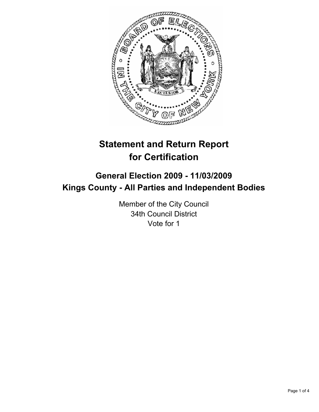

# **Statement and Return Report for Certification**

## **General Election 2009 - 11/03/2009 Kings County - All Parties and Independent Bodies**

Member of the City Council 34th Council District Vote for 1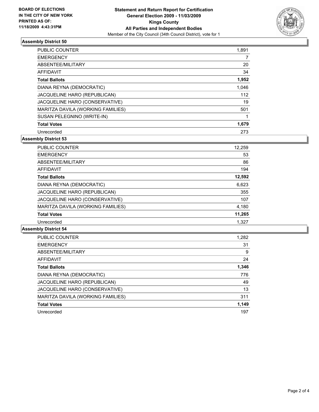

#### **Assembly District 50**

| <b>PUBLIC COUNTER</b>               | 1,891 |
|-------------------------------------|-------|
| <b>EMERGENCY</b>                    | 7     |
| ABSENTEE/MILITARY                   | 20    |
| AFFIDAVIT                           | 34    |
| <b>Total Ballots</b>                | 1,952 |
| DIANA REYNA (DEMOCRATIC)            | 1,046 |
| <b>JACQUELINE HARO (REPUBLICAN)</b> | 112   |
| JACQUELINE HARO (CONSERVATIVE)      | 19    |
| MARITZA DAVILA (WORKING FAMILIES)   | 501   |
| SUSAN PELEGNINO (WRITE-IN)          |       |
| <b>Total Votes</b>                  | 1,679 |
| Unrecorded                          | 273   |

**Assembly District 53**

| <b>PUBLIC COUNTER</b>             | 12,259 |
|-----------------------------------|--------|
| <b>EMERGENCY</b>                  | 53     |
| ABSENTEE/MILITARY                 | 86     |
| <b>AFFIDAVIT</b>                  | 194    |
| <b>Total Ballots</b>              | 12,592 |
| DIANA REYNA (DEMOCRATIC)          | 6,623  |
| JACQUELINE HARO (REPUBLICAN)      | 355    |
| JACQUELINE HARO (CONSERVATIVE)    | 107    |
| MARITZA DAVILA (WORKING FAMILIES) | 4,180  |
| <b>Total Votes</b>                | 11,265 |
| Unrecorded                        | 1.327  |

#### **Assembly District 54**

| <b>PUBLIC COUNTER</b>             | 1,282 |
|-----------------------------------|-------|
| <b>EMERGENCY</b>                  | 31    |
| ABSENTEE/MILITARY                 | 9     |
| <b>AFFIDAVIT</b>                  | 24    |
| <b>Total Ballots</b>              | 1,346 |
| DIANA REYNA (DEMOCRATIC)          | 776   |
| JACQUELINE HARO (REPUBLICAN)      | 49    |
| JACQUELINE HARO (CONSERVATIVE)    | 13    |
| MARITZA DAVILA (WORKING FAMILIES) | 311   |
| <b>Total Votes</b>                | 1,149 |
| Unrecorded                        | 197   |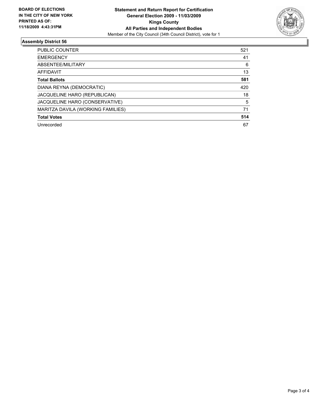

#### **Assembly District 56**

| <b>PUBLIC COUNTER</b>             | 521 |
|-----------------------------------|-----|
| <b>EMERGENCY</b>                  | 41  |
| ABSENTEE/MILITARY                 | 6   |
| <b>AFFIDAVIT</b>                  | 13  |
| <b>Total Ballots</b>              | 581 |
| DIANA REYNA (DEMOCRATIC)          | 420 |
| JACQUELINE HARO (REPUBLICAN)      | 18  |
| JACQUELINE HARO (CONSERVATIVE)    | 5   |
| MARITZA DAVILA (WORKING FAMILIES) | 71  |
| <b>Total Votes</b>                | 514 |
| Unrecorded                        | 67  |